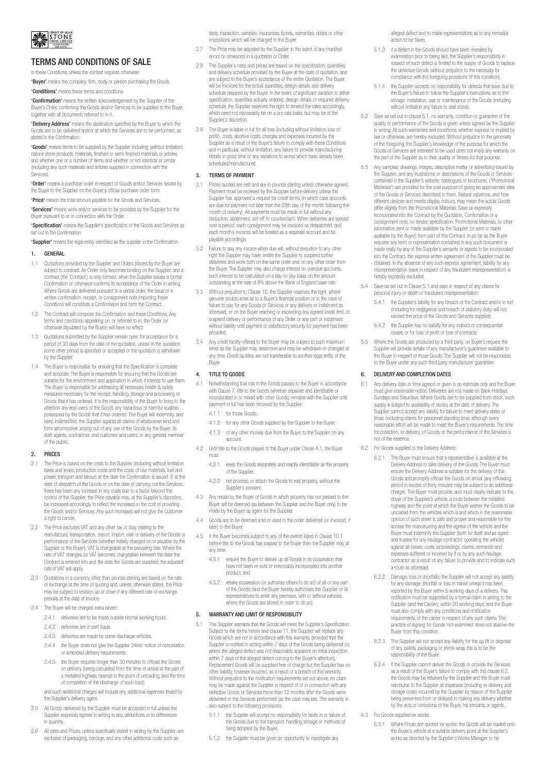

# TERMS AND CONDITIONS OF SALE

In these Conditions, unless the context requires otherwise

'Buyer' means the company, firm, body or person purchasing the Goods. 'Conditions' means these terms and conditions.

'Confirmation' means the written acknowledgement by the Supplier of the Buyer's Order, confirming the Goods and/or Services to be supplied to the Buyer, together with all documents referred to in it.

'Delivery Address' means the destination specified by the Buyer to which the Goods are to be delivered and/or at which the Services are to be performed, as stated in the Confirmation.

'Goods' means items to be supplied by the Supplier including (without limitation) natural stone products, materials, finished or semi-finished materials or articles, and whether one or a number of items and whether or not identical or similar (including any such materials and articles supplied in connection with the Services).

'Order' means a purchase order in respect of Goods and/or Services issued by the Buyer to the Supplier on the Buyer's official purchase order form.

'Price' means the total amount payable for the Goods and Services.

'Services' means work and/or services to be provided by the Supplier for the Buyer pursuant to or in connection with the Order.

'Specification' means the Supplier's specification of the Goods and Services as set out in the Confirmation.

'Supplier' means the legal entity identified as the supplier in the Confirmation.

# 1. GENERAL

- 1.1 Quotations provided by the Supplier and Orders placed by the Buyer are subject to contract. An Order only becomes binding on the Supplier, and a contract (the 'Contract') is only formed, when the Supplier issues a formal Confirmation or otherwise confirms its acceptance of the Order in writing. Where Goods are delivered pursuant to a verbal order, the issue of a written confirmation, receipt, or consignment note importing these Conditions will constitute a Confirmation and form the Contract.
- 1.2 The Contract will comprise the Confirmation and these Conditions. Any terms and conditions appearing on, or referred to in, the Order (or otherwise stipulated by the Buyer) will have no effect.
- 1.3 Quotations submitted by the Supplier remain open for acceptance for a period of 30 days from the date of the quotation, unless in the quotation some other period is specified or accepted or the quotation is withdrawn by the Supplier.
- 1.4 The Buyer is responsible for ensuring that the Specification is complete and accurate. The Buyer is responsible for ensuring that the Goods are suitable for the environment and application in which it intends to use them. The Buyer is responsible for addressing all necessary health & safety measures necessary for the receipt, handling, storage and processing of Goods that it has ordered. It is the responsibility of the Buyer to bring to the attention any end users of the Goods any hazardous or harmful qualities possessed by the Goods that it has ordered. The Buyer will indemnify, and keep indemnified, the Supplier against all claims of whatsoever kind and form whomsoever arising out of any use of the Goods by the Buyer, its staff, agents, contractors, end customer and users, or any general member of the public.

## 2. PRICES

- 2.1 The Price is based on the costs to the Supplier (including without limitation taxes and levies, production costs and the costs of raw materials, fuel and power, transport and labour) at the date the Confirmation is issued. If, at the date of despatch of the Goods or on the date of carrying out the Services, there has been any increase in any costs due to a factor beyond the control of the Supplier, the Price payable may, at the Supplier's discretion, be increased accordingly to reflect the increases in the cost of providing the Goods and/or Services. Any such increases will not give the Customer a right to cancel.
- 2.2 The Price excludes VAT and any other tax or duty relating to the manufacture, transportation, export, import, sale or delivery of the Goods or performance of the Services (whether initially charged on or payable by the Supplier or the Buyer). VAT is chargeable at the prevailing rate. Where the rate of VAT changes (or VAT becomes chargeable) between the date the Contract is entered into and the date the Goods are supplied, the adjusted rate of VAT will apply.
- 2.3 Quotations in a currency other than pounds sterling are based on the rate of exchange at the time of quoting and, unless otherwise stated, the Price may be subject to revision up or down if any different rate of exchange prevails at the date of invoice.
- 2.4 The Buyer will be charged extra where:
	- 2.4.1 deliveries are to be made outside normal working hours.
	- 2.4.2 deliveries are in part loads.
	- 2.4.3 deliveries are made by crane discharge vehicles
	- 2.4.4 the Buyer does not give the Supplier 24hrs' notice of cancellation or amended delivery requirements.
	- 2.4.5 the Buyer requires longer than 30 minutes to offload the Goods on delivery (being calculated from the time of arrival at the part of a metalled highway nearest to the point of unloading, and the time of completion of the discharge of such load);

and such additional charges will include any additional expenses levied by the Supplier's delivery agent.

- All Goods delivered by the Supplier must be accepted in full unless the Supplier expressly agrees in writing to any deductions or to differences in quantity.
- 2.6 All rates and Prices, unless specifically stated in writing by the Supplier, are exclusive of packaging, carriage, and any other additional costs such as

tests, inspection, samples, insurances, bonds, warranties, duties or other impositions which will be charged to the Buyer.

- 2.7 The Price may be adjusted by the Supplier in the event of any manifest errors or omissions in a quotation or Order.
- 2.8 The Supplier's rates and prices are based on the specification, quantities and delivery schedule provided by the Buyer at the date of quotation, and are subject to the Buyer's acceptance of the entire Quotation. The Buyer will be invoiced for the actual quantities, design details and delivery schedule required by the Buyer. In the event of significant variation to either specification, quantities actually ordered, design details or required delivery schedule, the Supplier reserves the right to amend the rates accordingly, which need not necessarily be on a pro rata basis, but may be at the Supplier's discretion.
- 2.9 The Buyer is liable in full for all loss (including without limitation loss of profit), costs, abortive costs, charges and expenses incurred by the Supplier as a result of the Buyer's failure to comply with these Conditions and in particular, without limitation, any failure to provide manufacturing details in good time or any variations to works which have already been scheduled/manufactured.

# 3. TERMS OF PAYMENT

- 3.1 Prices quoted are nett and are in pounds sterling unless otherwise agreed. Payment must be received by the Supplier before delivery unless the Supplier has approved a request for credit terms (in which case accounts are due for payment not later than the 28th day of the month following the month of delivery). All payments must be made in full without any deduction, abatement, set-off or counterclaim. When deliveries are spread over a period, each consignment may be invoiced as despatched, and each month's invoices will be treated as a separate account and be payable accordingly.
- 3.2 Failure to pay any invoice when due will, without prejudice to any other raidio to pay any invoice milion due mili, miliodi prejeased to any oright the Supplier may have, entitle the Supplier to suspend further deliveries and work both on the same order and on any other order from the Buyer. The Supplier may also charge interest on overdue accounts, such interest to be calculated on a day-to-day basis on the amount outstanding at the rate of 8% above the Bank of England base rate.
- 3.3 Without prejudice to Clause 10, the Supplier reserves the right, where genuine doubts arise as to a Buyer's financial position or in the case of failure to pay for any Goods or Services or any delivery or instalment as aforesaid, or on the Buyer reaching or exceeding any agreed credit limit, to suspend delivery or performance of any Order or any part or instalment without liability until payment or satisfactory security for payment has been provided.
- 3.4 Any credit facility offered to the Buyer may be subject to such maximum limits as the Supplier may determine and may be withdrawn or changed at any time. Credit facilities are not transferable to another legal entity of the Buyer.

## 4. TITLE TO GOODS

- 4.1 Notwithstanding that risk in the Goods passes to the Buyer in accordance with Clause 7, title to the Goods (whether separate and identifiable or incorporated in or mixed with other Goods) remains with the Supplier until payment in full has been received by the Supplier:
	- 4.1.1 for those Goods;
	- 4.1.2 for any other Goods supplied by the Supplier to the Buyer;
	- 4.1.3 of any other monies due from the Buyer to the Supplier on any account.
- 4.2 Until title to the Goods passes to the Buyer under Clause 4.1, the Buyer must:
	- 4.2.1 keep the Goods separately and readily identifiable as the property of the Supplier;
	- 4.2.2 not process, or attach the Goods to real property, without the Supplier's consent.
- 4.3 Any resale by the Buyer of Goods in which property has not passed to the Buyer will be deemed (as between the Supplier and the Buyer only) to be made by the Buyer as agent for the Supplier.
- 4.4 Goods are to be deemed sold or used in the order delivered (or invoiced, if later) to the Buyer.
- 4.5 If the Buyer becomes subject to any of the events listed in Clause 10.1 before title to the Goods has passed to the Buyer then the Supplier may at any time:
	- 4.5.1 require the Buyer to deliver up all Goods in its possession that have not been re-sold or irrevocably incorporated into another product; and
	- 4.5.2 retake possession (or authorise others to do so) of all or any part of the Goods (and the Buyer hereby authorises the Supplier or its representatives to enter any premises, with or without vehicles, where the Goods are stored in order to do so).

## 5. WARRANTY AND LIMIT OF RESPONSIBILITY

- 5.1 The Supplier warrants that the Goods will meet the Supplier's Specification. Subject to the terms herein and clause 11, the Supplier will replace any Goods which are not in accordance with this warranty, provided that the Supplier is notified in writing within 7 days of the Goods being delivered (or, where the alleged defect was not reasonably apparent on initial inspection, within 7 days of the alleged defect coming to the Buyer's attention). Replacement Goods will be supplied free of charge but the Supplier has no other liability, however incurred, as a result of a breach of this warranty. Without prejudice to the notification requirements set out above, no claim may be made against the Supplier in respect of or in connection with any defective Goods or Services more than 12 months after the Goods were delivered or the Services performed (as the case may be). The warranty is also subject to the following provisions:
	- 5.1.1 the Supplier will accept no responsibility for faults in or failure of the Goods due to the transport, handling storage or methods of fixing adopted by the Buyer.
	- 5.1.2 the Supplier must be given an opportunity to investigate any

alleged defect and to make representations as to any remedial action to be taken.

- 5.1.3 if a defect in the Goods should have been revealed by examination prior to being laid, the Supplier's responsibility in respect of such defect is limited to the supply of Goods to replace the defective Goods (without prejudice to the necessity for compliance with the foregoing provisions of this condition).
- 5.1.4 the Supplier accepts no responsibility for defects that arise due to the Buyer's failure to follow the Supplier's instructions as to the storage, installation, use or maintenance of the Goods (including without limitation any failure to seal stone).
- 5.2 Save as set out in clause 5.1, no warranty, condition or guarantee of the quality or performance of the Goods is given unless agreed by the Supplier in writing. All such warranties and conditions, whether express or implied by law or otherwise, are hereby excluded. Without prejudice to the generality of the foregoing, the Supplier's knowledge of the purpose for which the Goods or Services are intended to be used does not imply any warranty on the part of the Supplier as to their quality or fitness for that purpose.
- 5.3 Any samples, drawings, images, descriptive matter or advertising issued by the Supplier, and any illustrations or descriptions of the Goods or Services che Supplier's website, catalogues or brochures, ("Promotional Materials") are provided for the sole purpose of giving an approximate idea of the Goods or Services described in them. Natural variations, and how different devices and media display colours, may mean the actual Goods differ slightly from the Promotional Materials. Save as expressly incorporated into the Contract by the Quotation, Confirmation or a consignment note, no tender, specification, Promotional Materials, or other information sent or made available by the Supplier (or sent or made available by the Buyer) form part of this Contract. In so far as the Buyer requires any term or representation contained in any such document or made orally by any of the Supplier's servants or agents to be incorporated into the Contract, the express written agreement of the Supplier must be obtained. In the absence of any such express agreement, liability for any misrepresentation (save in respect of any fraudulent misrepresentation) is hereby expressly excluded.
- 5.4 Save as set out in Clause 5.1 and save in respect of any claims for personal injury or death or fraudulent misrepresentation:
	- 5.4.1 the Supplier's liability for any breach of the Contract and/or in tort (including for negligence and breach of statutory duty) will not exceed the price of the Goods and Services supplied.
	- 5.4.2 the Supplier has no liability for any indirect or consequential losses, or for loss of profit or loss of contracts.
- 5.5 Where the Goods are produced by a third party, on Buyer's request the Supplier will provide details of any manufacturer's guarantee available to the Buyer in respect of those Goods. The Supplier will not be responsible to the Buyer under any such third party manufacturer guarantee.

## 6. DELIVERY AND COMPLETION DATES

- 6.1 Any delivery date or time agreed or given is an estimate only and the Buyer must give reasonable notice. Deliveries are not made on Bank Holidays, Sundays and Saturdays. Where Goods are to be supplied from stock, such supply is subject to availability of stocks at the date of delivery. The Supplier cannot accept any liability for failure to meet delivery dates or times (including claims for personnel standing time) although every reasonable effort will be made to meet the Buyer's requirements. The time for collection, or delivery, of Goods, or the performance of the Services is not of the essence.
- 6.2 For Goods supplied to the Delivery Address:
	- 6.2.1 The Buyer must ensure that a representative is available at the Delivery Address to take delivery of the Goods. The Buyer must ensure the Delivery Address is suitable for the delivery of the Goods and promptly offload the Goods on arrival (any offloading period in excess of thirty minutes may be subject to an additional charge). The Buyer must provide, and must clearly indicate to the driver of the Supplier's vehicle, a route between the metalled highway and the point at which the Buyer wishes the Goods to be unloaded from the vehicles which is and which in the reasonable opinion of such driver is safe and proper and reasonable for the access the manoeuvring and the egress of the vehicle and the Buyer must indemnify the Supplier (both for itself and as agent and trustee for any haulage contractor operating the vehicle against all losses, costs, proceedings, claims, demands and expenses suffered or incurred by it or by any such haulage contractor as a result of any failure to provide and to indicate such a route as aforesaid.
	- 6.2.2 Damage, loss or shortfalls: the Supplier will not accept any liability for any damage, shortfall or loss in transit unless it has been reported by the Buyer within 5 working days of a delivery. This notification must be supported by a formal claim in writing to the Supplier (and the Carrier), within 20 working days, and the Buyer must also comply with any conditions and notification requirements of the carrier in respect of any such claims. The practice of signing for Goods 'not examined' does not absolve the Buyer from this condition.
	- 6.2.3 The Supplier will not accept any liability for the up lift or disposal of any pallets, packaging or shrink wrap this is to be the responsibility of the Buyer.
	- 6.2.4 If the Supplier cannot deliver the Goods or provide the Services as a result of the Buyer's failure to comply with this clause 6.2, the Goods may be retained by the Supplier and the Buyer must reimburse to the Supplier all expenses (including re-delivery and storage costs) incurred by the Supplier by reason of the Supplier being prevented from or delayed in making any delivery whether by the acts or omissions of the Buyer, his servants or agents.
- 6.3 For Goods supplied ex works:
	- 6.3.1 Where Prices are quoted 'ex works' the Goods will be loaded onto the Buyer's vehicle at a suitable delivery point at the Supplier's works as directed by the Supplier's Works Manager or his